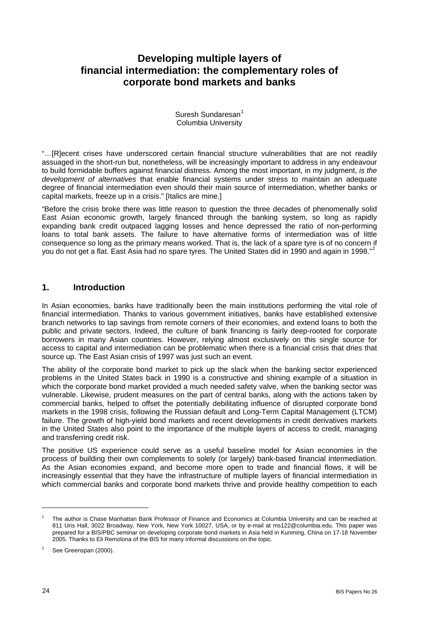# **Developing multiple layers of financial intermediation: the complementary roles of corporate bond markets and banks**

Suresh Sundaresan<sup>[1](#page-0-0)</sup> Columbia University

"…[R]ecent crises have underscored certain financial structure vulnerabilities that are not readily assuaged in the short-run but, nonetheless, will be increasingly important to address in any endeavour to build formidable buffers against financial distress. Among the most important, in my judgment, *is the development of alternatives* that enable financial systems under stress to maintain an adequate degree of financial intermediation even should their main source of intermediation, whether banks or capital markets, freeze up in a crisis." [Italics are mine.]

"Before the crisis broke there was little reason to question the three decades of phenomenally solid East Asian economic growth, largely financed through the banking system, so long as rapidly expanding bank credit outpaced lagging losses and hence depressed the ratio of non-performing loans to total bank assets. The failure to have alternative forms of intermediation was of little consequence so long as the primary means worked. That is, the lack of a spare tyre is of no concern if you do not get a flat. East Asia had no spare tyres. The United States did in 1990 and again in 1998."<sup>[2](#page-0-1)</sup>

#### **1. Introduction**

In Asian economies, banks have traditionally been the main institutions performing the vital role of financial intermediation. Thanks to various government initiatives, banks have established extensive branch networks to tap savings from remote corners of their economies, and extend loans to both the public and private sectors. Indeed, the culture of bank financing is fairly deep-rooted for corporate borrowers in many Asian countries. However, relying almost exclusively on this single source for access to capital and intermediation can be problematic when there is a financial crisis that dries that source up. The East Asian crisis of 1997 was just such an event.

The ability of the corporate bond market to pick up the slack when the banking sector experienced problems in the United States back in 1990 is a constructive and shining example of a situation in which the corporate bond market provided a much needed safety valve, when the banking sector was vulnerable. Likewise, prudent measures on the part of central banks, along with the actions taken by commercial banks, helped to offset the potentially debilitating influence of disrupted corporate bond markets in the 1998 crisis, following the Russian default and Long-Term Capital Management (LTCM) failure. The growth of high-yield bond markets and recent developments in credit derivatives markets in the United States also point to the importance of the multiple layers of access to credit, managing and transferring credit risk.

The positive US experience could serve as a useful baseline model for Asian economies in the process of building their own complements to solely (or largely) bank-based financial intermediation. As the Asian economies expand, and become more open to trade and financial flows, it will be increasingly essential that they have the infrastructure of multiple layers of financial intermediation in which commercial banks and corporate bond markets thrive and provide healthy competition to each

l

<span id="page-0-0"></span><sup>1</sup> The author is Chase Manhattan Bank Professor of Finance and Economics at Columbia University and can be reached at 811 Uris Hall, 3022 Broadway, New York, New York 10027, USA, or by e-mail at ms122@columbia.edu. This paper was prepared for a BIS/PBC seminar on developing corporate bond markets in Asia held in Kunming, China on 17-18 November 2005. Thanks to Eli Remolona of the BIS for many informal discussions on the topic.

<span id="page-0-1"></span> $\overline{2}$ See Greenspan (2000).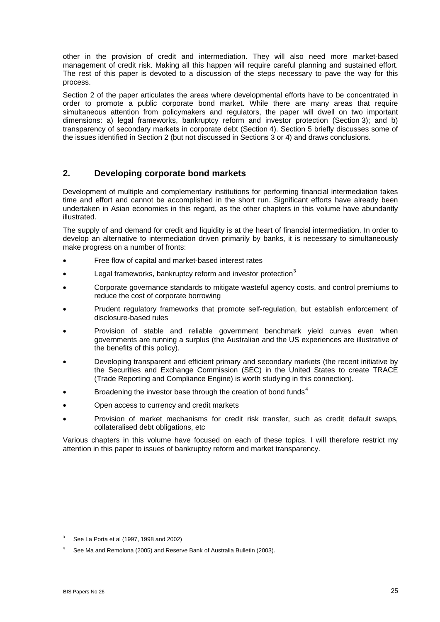other in the provision of credit and intermediation. They will also need more market-based management of credit risk. Making all this happen will require careful planning and sustained effort. The rest of this paper is devoted to a discussion of the steps necessary to pave the way for this process.

Section 2 of the paper articulates the areas where developmental efforts have to be concentrated in order to promote a public corporate bond market. While there are many areas that require simultaneous attention from policymakers and regulators, the paper will dwell on two important dimensions: a) legal frameworks, bankruptcy reform and investor protection (Section 3); and b) transparency of secondary markets in corporate debt (Section 4). Section 5 briefly discusses some of the issues identified in Section 2 (but not discussed in Sections 3 or 4) and draws conclusions.

#### **2. Developing corporate bond markets**

Development of multiple and complementary institutions for performing financial intermediation takes time and effort and cannot be accomplished in the short run. Significant efforts have already been undertaken in Asian economies in this regard, as the other chapters in this volume have abundantly illustrated.

The supply of and demand for credit and liquidity is at the heart of financial intermediation. In order to develop an alternative to intermediation driven primarily by banks, it is necessary to simultaneously make progress on a number of fronts:

- Free flow of capital and market-based interest rates
- Legal frameworks, bankruptcy reform and investor protection $3$
- Corporate governance standards to mitigate wasteful agency costs, and control premiums to reduce the cost of corporate borrowing
- Prudent regulatory frameworks that promote self-regulation, but establish enforcement of disclosure-based rules
- Provision of stable and reliable government benchmark yield curves even when governments are running a surplus (the Australian and the US experiences are illustrative of the benefits of this policy).
- Developing transparent and efficient primary and secondary markets (the recent initiative by the Securities and Exchange Commission (SEC) in the United States to create TRACE (Trade Reporting and Compliance Engine) is worth studying in this connection).
- Broadening the investor base through the creation of bond funds<sup>[4](#page-1-1)</sup>
- Open access to currency and credit markets
- Provision of market mechanisms for credit risk transfer, such as credit default swaps, collateralised debt obligations, etc

Various chapters in this volume have focused on each of these topics. I will therefore restrict my attention in this paper to issues of bankruptcy reform and market transparency.

1

<span id="page-1-0"></span><sup>3</sup> See La Porta et al (1997, 1998 and 2002)

<span id="page-1-1"></span><sup>4</sup> See Ma and Remolona (2005) and Reserve Bank of Australia Bulletin (2003).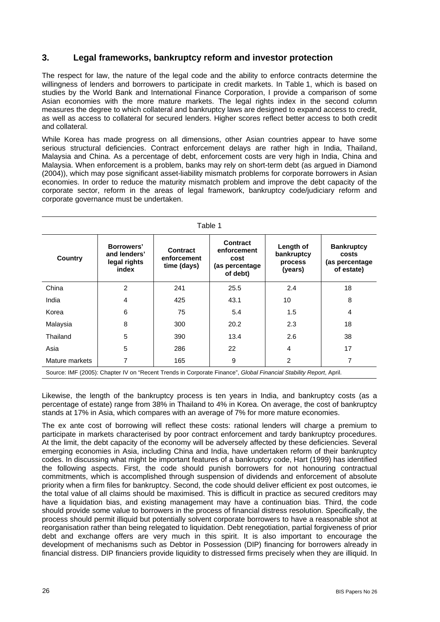### **3. Legal frameworks, bankruptcy reform and investor protection**

The respect for law, the nature of the legal code and the ability to enforce contracts determine the willingness of lenders and borrowers to participate in credit markets. In Table 1, which is based on studies by the World Bank and International Finance Corporation, I provide a comparison of some Asian economies with the more mature markets. The legal rights index in the second column measures the degree to which collateral and bankruptcy laws are designed to expand access to credit, as well as access to collateral for secured lenders. Higher scores reflect better access to both credit and collateral.

While Korea has made progress on all dimensions, other Asian countries appear to have some serious structural deficiencies. Contract enforcement delays are rather high in India, Thailand, Malaysia and China. As a percentage of debt, enforcement costs are very high in India, China and Malaysia. When enforcement is a problem, banks may rely on short-term debt (as argued in Diamond (2004)), which may pose significant asset-liability mismatch problems for corporate borrowers in Asian economies. In order to reduce the maturity mismatch problem and improve the debt capacity of the corporate sector, reform in the areas of legal framework, bankruptcy code/judiciary reform and corporate governance must be undertaken.

| Table 1                                                                                                           |                                                     |                                               |                                                               |                                               |                                                            |  |  |  |
|-------------------------------------------------------------------------------------------------------------------|-----------------------------------------------------|-----------------------------------------------|---------------------------------------------------------------|-----------------------------------------------|------------------------------------------------------------|--|--|--|
| Country                                                                                                           | Borrowers'<br>and lenders'<br>legal rights<br>index | <b>Contract</b><br>enforcement<br>time (days) | Contract<br>enforcement<br>cost<br>(as percentage<br>of debt) | Length of<br>bankruptcy<br>process<br>(years) | <b>Bankruptcy</b><br>costs<br>(as percentage<br>of estate) |  |  |  |
| China                                                                                                             | $\overline{2}$                                      | 241                                           | 25.5                                                          | 2.4                                           | 18                                                         |  |  |  |
| India                                                                                                             | 4                                                   | 425                                           | 43.1                                                          | 10                                            | 8                                                          |  |  |  |
| Korea                                                                                                             | 6                                                   | 75                                            | 5.4                                                           | 1.5                                           | 4                                                          |  |  |  |
| Malaysia                                                                                                          | 8                                                   | 300                                           | 20.2                                                          | 2.3                                           | 18                                                         |  |  |  |
| Thailand                                                                                                          | 5                                                   | 390                                           | 13.4                                                          | 2.6                                           | 38                                                         |  |  |  |
| Asia                                                                                                              | 5                                                   | 286                                           | 22                                                            | 4                                             | 17                                                         |  |  |  |
| Mature markets                                                                                                    | 7                                                   | 165                                           | 9                                                             | $\overline{2}$                                | 7                                                          |  |  |  |
| Source: IMF (2005): Chapter IV on "Recent Trends in Corporate Finance", Global Financial Stability Report, April. |                                                     |                                               |                                                               |                                               |                                                            |  |  |  |

Likewise, the length of the bankruptcy process is ten years in India, and bankruptcy costs (as a percentage of estate) range from 38% in Thailand to 4% in Korea. On average, the cost of bankruptcy stands at 17% in Asia, which compares with an average of 7% for more mature economies.

The ex ante cost of borrowing will reflect these costs: rational lenders will charge a premium to participate in markets characterised by poor contract enforcement and tardy bankruptcy procedures. At the limit, the debt capacity of the economy will be adversely affected by these deficiencies. Several emerging economies in Asia, including China and India, have undertaken reform of their bankruptcy codes. In discussing what might be important features of a bankruptcy code, Hart (1999) has identified the following aspects. First, the code should punish borrowers for not honouring contractual commitments, which is accomplished through suspension of dividends and enforcement of absolute priority when a firm files for bankruptcy. Second, the code should deliver efficient ex post outcomes, ie the total value of all claims should be maximised. This is difficult in practice as secured creditors may have a liquidation bias, and existing management may have a continuation bias. Third, the code should provide some value to borrowers in the process of financial distress resolution. Specifically, the process should permit illiquid but potentially solvent corporate borrowers to have a reasonable shot at reorganisation rather than being relegated to liquidation. Debt renegotiation, partial forgiveness of prior debt and exchange offers are very much in this spirit. It is also important to encourage the development of mechanisms such as Debtor in Possession (DIP) financing for borrowers already in financial distress. DIP financiers provide liquidity to distressed firms precisely when they are illiquid. In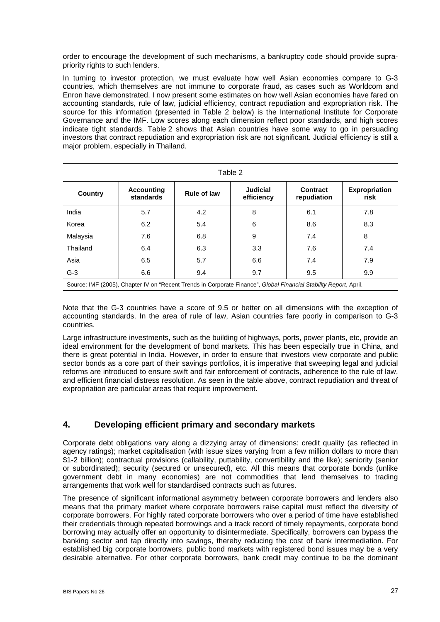order to encourage the development of such mechanisms, a bankruptcy code should provide suprapriority rights to such lenders.

In turning to investor protection, we must evaluate how well Asian economies compare to G-3 countries, which themselves are not immune to corporate fraud, as cases such as Worldcom and Enron have demonstrated. I now present some estimates on how well Asian economies have fared on accounting standards, rule of law, judicial efficiency, contract repudiation and expropriation risk. The source for this information (presented in Table 2 below) is the International Institute for Corporate Governance and the IMF. Low scores along each dimension reflect poor standards, and high scores indicate tight standards. Table 2 shows that Asian countries have some way to go in persuading investors that contract repudiation and expropriation risk are not significant. Judicial efficiency is still a major problem, especially in Thailand.

| Table 2  |                                                                                                                   |             |                        |                         |                              |  |  |
|----------|-------------------------------------------------------------------------------------------------------------------|-------------|------------------------|-------------------------|------------------------------|--|--|
| Country  | <b>Accounting</b><br>standards                                                                                    | Rule of law | Judicial<br>efficiency | Contract<br>repudiation | <b>Expropriation</b><br>risk |  |  |
| India    | 5.7                                                                                                               | 4.2         | 8                      | 6.1                     | 7.8                          |  |  |
| Korea    | 6.2                                                                                                               | 5.4         | 6                      | 8.6                     | 8.3                          |  |  |
| Malaysia | 7.6                                                                                                               | 6.8         | 9                      | 7.4                     | 8                            |  |  |
| Thailand | 6.4                                                                                                               | 6.3         | 3.3                    | 7.6                     | 7.4                          |  |  |
| Asia     | 6.5                                                                                                               | 5.7         | 6.6                    | 7.4                     | 7.9                          |  |  |
| $G-3$    | 6.6                                                                                                               | 9.4         | 9.7                    | 9.5                     | 9.9                          |  |  |
|          | Source: IMF (2005), Chapter IV on "Recent Trends in Corporate Finance", Global Financial Stability Report, April. |             |                        |                         |                              |  |  |

Note that the G-3 countries have a score of 9.5 or better on all dimensions with the exception of accounting standards. In the area of rule of law, Asian countries fare poorly in comparison to G-3 countries.

Large infrastructure investments, such as the building of highways, ports, power plants, etc, provide an ideal environment for the development of bond markets. This has been especially true in China, and there is great potential in India. However, in order to ensure that investors view corporate and public sector bonds as a core part of their savings portfolios, it is imperative that sweeping legal and judicial reforms are introduced to ensure swift and fair enforcement of contracts, adherence to the rule of law, and efficient financial distress resolution. As seen in the table above, contract repudiation and threat of expropriation are particular areas that require improvement.

### **4. Developing efficient primary and secondary markets**

Corporate debt obligations vary along a dizzying array of dimensions: credit quality (as reflected in agency ratings); market capitalisation (with issue sizes varying from a few million dollars to more than \$1-2 billion); contractual provisions (callability, puttability, convertibility and the like); seniority (senior or subordinated); security (secured or unsecured), etc. All this means that corporate bonds (unlike government debt in many economies) are not commodities that lend themselves to trading arrangements that work well for standardised contracts such as futures.

The presence of significant informational asymmetry between corporate borrowers and lenders also means that the primary market where corporate borrowers raise capital must reflect the diversity of corporate borrowers. For highly rated corporate borrowers who over a period of time have established their credentials through repeated borrowings and a track record of timely repayments, corporate bond borrowing may actually offer an opportunity to disintermediate. Specifically, borrowers can bypass the banking sector and tap directly into savings, thereby reducing the cost of bank intermediation. For established big corporate borrowers, public bond markets with registered bond issues may be a very desirable alternative. For other corporate borrowers, bank credit may continue to be the dominant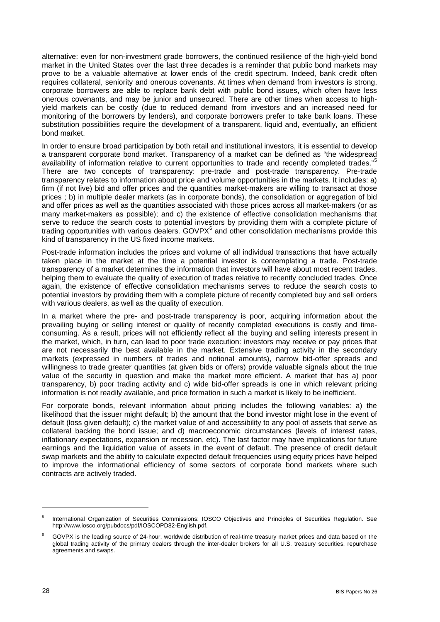alternative: even for non-investment grade borrowers, the continued resilience of the high-yield bond market in the United States over the last three decades is a reminder that public bond markets may prove to be a valuable alternative at lower ends of the credit spectrum. Indeed, bank credit often requires collateral, seniority and onerous covenants. At times when demand from investors is strong, corporate borrowers are able to replace bank debt with public bond issues, which often have less onerous covenants, and may be junior and unsecured. There are other times when access to highyield markets can be costly (due to reduced demand from investors and an increased need for monitoring of the borrowers by lenders), and corporate borrowers prefer to take bank loans. These substitution possibilities require the development of a transparent, liquid and, eventually, an efficient bond market.

In order to ensure broad participation by both retail and institutional investors, it is essential to develop a transparent corporate bond market. Transparency of a market can be defined as "the widespread availability of information relative to current opportunities to trade and recently completed trades."<sup>[5](#page-4-0)</sup> There are two concepts of transparency: pre-trade and post-trade transparency. Pre-trade transparency relates to information about price and volume opportunities in the markets. It includes: a) firm (if not live) bid and offer prices and the quantities market-makers are willing to transact at those prices ; b) in multiple dealer markets (as in corporate bonds), the consolidation or aggregation of bid and offer prices as well as the quantities associated with those prices across all market-makers (or as many market-makers as possible); and c) the existence of effective consolidation mechanisms that serve to reduce the search costs to potential investors by providing them with a complete picture of trading opportunities with various dealers. GOVPX $^6$  $^6$  and other consolidation mechanisms provide this kind of transparency in the US fixed income markets.

Post-trade information includes the prices and volume of all individual transactions that have actually taken place in the market at the time a potential investor is contemplating a trade. Post-trade transparency of a market determines the information that investors will have about most recent trades, helping them to evaluate the quality of execution of trades relative to recently concluded trades. Once again, the existence of effective consolidation mechanisms serves to reduce the search costs to potential investors by providing them with a complete picture of recently completed buy and sell orders with various dealers, as well as the quality of execution.

In a market where the pre- and post-trade transparency is poor, acquiring information about the prevailing buying or selling interest or quality of recently completed executions is costly and timeconsuming. As a result, prices will not efficiently reflect all the buying and selling interests present in the market, which, in turn, can lead to poor trade execution: investors may receive or pay prices that are not necessarily the best available in the market. Extensive trading activity in the secondary markets (expressed in numbers of trades and notional amounts), narrow bid-offer spreads and willingness to trade greater quantities (at given bids or offers) provide valuable signals about the true value of the security in question and make the market more efficient. A market that has a) poor transparency, b) poor trading activity and c) wide bid-offer spreads is one in which relevant pricing information is not readily available, and price formation in such a market is likely to be inefficient.

For corporate bonds, relevant information about pricing includes the following variables: a) the likelihood that the issuer might default; b) the amount that the bond investor might lose in the event of default (loss given default); c) the market value of and accessibility to any pool of assets that serve as collateral backing the bond issue; and d) macroeconomic circumstances (levels of interest rates, inflationary expectations, expansion or recession, etc). The last factor may have implications for future earnings and the liquidation value of assets in the event of default. The presence of credit default swap markets and the ability to calculate expected default frequencies using equity prices have helped to improve the informational efficiency of some sectors of corporate bond markets where such contracts are actively traded.

l

<span id="page-4-0"></span><sup>5</sup> International Organization of Securities Commissions: IOSCO Objectives and Principles of Securities Regulation. See http://www.iosco.org/pubdocs/pdf/IOSCOPD82-English.pdf.

<span id="page-4-1"></span><sup>6</sup> GOVPX is the leading source of 24-hour, worldwide distribution of real-time treasury market prices and data based on the global trading activity of the primary dealers through the inter-dealer brokers for all U.S. treasury securities, repurchase agreements and swaps.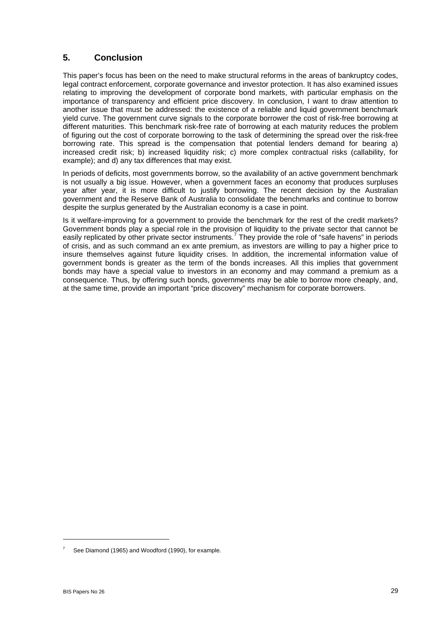## **5. Conclusion**

This paper's focus has been on the need to make structural reforms in the areas of bankruptcy codes, legal contract enforcement, corporate governance and investor protection. It has also examined issues relating to improving the development of corporate bond markets, with particular emphasis on the importance of transparency and efficient price discovery. In conclusion, I want to draw attention to another issue that must be addressed: the existence of a reliable and liquid government benchmark yield curve. The government curve signals to the corporate borrower the cost of risk-free borrowing at different maturities. This benchmark risk-free rate of borrowing at each maturity reduces the problem of figuring out the cost of corporate borrowing to the task of determining the spread over the risk-free borrowing rate. This spread is the compensation that potential lenders demand for bearing a) increased credit risk; b) increased liquidity risk; c) more complex contractual risks (callability, for example); and d) any tax differences that may exist.

In periods of deficits, most governments borrow, so the availability of an active government benchmark is not usually a big issue. However, when a government faces an economy that produces surpluses year after year, it is more difficult to justify borrowing. The recent decision by the Australian government and the Reserve Bank of Australia to consolidate the benchmarks and continue to borrow despite the surplus generated by the Australian economy is a case in point.

Is it welfare-improving for a government to provide the benchmark for the rest of the credit markets? Government bonds play a special role in the provision of liquidity to the private sector that cannot be easily replicated by other private sector instruments.<sup>[7](#page-5-0)</sup> They provide the role of "safe havens" in periods of crisis, and as such command an ex ante premium, as investors are willing to pay a higher price to insure themselves against future liquidity crises. In addition, the incremental information value of government bonds is greater as the term of the bonds increases. All this implies that government bonds may have a special value to investors in an economy and may command a premium as a consequence. Thus, by offering such bonds, governments may be able to borrow more cheaply, and, at the same time, provide an important "price discovery" mechanism for corporate borrowers.

-

<span id="page-5-0"></span><sup>7</sup> See Diamond (1965) and Woodford (1990), for example.